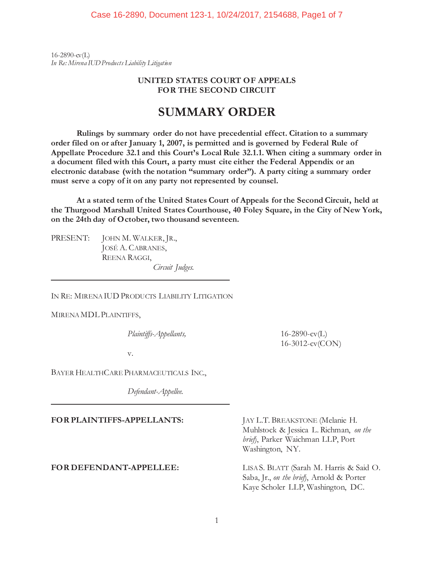$16 - 2890 - c(vL)$ *In Re: Mirena IUD Products Liability Litigation* 

## **UNITED STATES COURT OF APPEALS FOR THE SECOND CIRCUIT**

# **SUMMARY ORDER**

**Rulings by summary order do not have precedential effect. Citation to a summary order filed on or after January 1, 2007, is permitted and is governed by Federal Rule of Appellate Procedure 32.1 and this Court's Local Rule 32.1.1. When citing a summary order in a document filed with this Court, a party must cite either the Federal Appendix or an electronic database (with the notation "summary order"). A party citing a summary order must serve a copy of it on any party not represented by counsel.** 

**At a stated term of the United States Court of Appeals for the Second Circuit, held at the Thurgood Marshall United States Courthouse, 40 Foley Square, in the City of New York, on the 24th day of October, two thousand seventeen.** 

PRESENT: JOHN M. WALKER, JR., JOSÉ A. CABRANES, REENA RAGGI, *Circuit Judges.* 

IN RE: MIRENA IUD PRODUCTS LIABILITY LITIGATION

MIRENA MDL PLAINTIFFS,

l,

 $\overline{a}$ 

*Plaintiffs-Appellants,* 16-2890-cv(L)

16-3012-cv(CON)

v.

BAYER HEALTHCARE PHARMACEUTICALS INC.,

*Defendant-Appellee.*

## **FOR PLAINTIFFS-APPELLANTS:** JAY L.T. BREAKSTONE (Melanie H.

Muhlstock & Jessica L. Richman, *on the brief*), Parker Waichman LLP, Port Washington, NY.

**FOR DEFENDANT-APPELLEE:** LISA S. BLATT (Sarah M. Harris & Said O. Saba, Jr., *on the brief*), Arnold & Porter Kaye Scholer LLP, Washington, DC.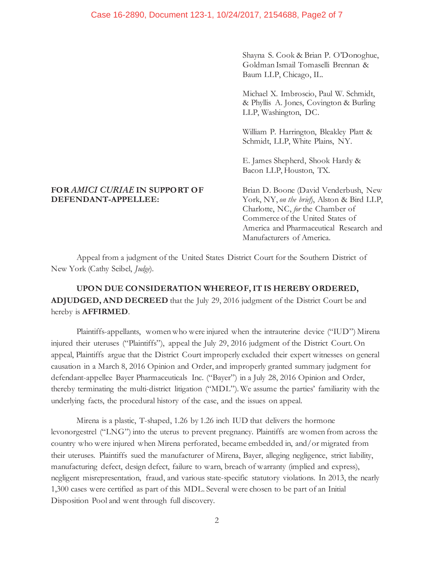Shayna S. Cook & Brian P. O'Donoghue, Goldman Ismail Tomaselli Brennan & Baum LLP, Chicago, IL.

Michael X. Imbroscio, Paul W. Schmidt, & Phyllis A. Jones, Covington & Burling LLP, Washington, DC.

William P. Harrington, Bleakley Platt & Schmidt, LLP, White Plains, NY.

E. James Shepherd, Shook Hardy & Bacon LLP, Houston, TX.

# **FOR** *AMICI CURIAE* **IN SUPPORT OF** Brian D. Boone (David Venderbush, New **DEFENDANT-APPELLEE:** York, NY, *on the brief*), Alston & Bird LLP,

Charlotte, NC, *for* the Chamber of Commerce of the United States of America and Pharmaceutical Research and Manufacturers of America.

Appeal from a judgment of the United States District Court for the Southern District of New York (Cathy Seibel, *Judge*).

# **UPON DUE CONSIDERATION WHEREOF, IT IS HEREBY ORDERED, ADJUDGED, AND DECREED** that the July 29, 2016 judgment of the District Court be and hereby is **AFFIRMED**.

Plaintiffs-appellants, women who were injured when the intrauterine device ("IUD") Mirena injured their uteruses ("Plaintiffs"), appeal the July 29, 2016 judgment of the District Court. On appeal, Plaintiffs argue that the District Court improperly excluded their expert witnesses on general causation in a March 8, 2016 Opinion and Order, and improperly granted summary judgment for defendant-appellee Bayer Pharmaceuticals Inc. ("Bayer") in a July 28, 2016 Opinion and Order, thereby terminating the multi-district litigation ("MDL"). We assume the parties' familiarity with the underlying facts, the procedural history of the case, and the issues on appeal.

Mirena is a plastic, T-shaped, 1.26 by 1.26 inch IUD that delivers the hormone levonorgestrel ("LNG") into the uterus to prevent pregnancy. Plaintiffs are women from across the country who were injured when Mirena perforated, became embedded in, and/or migrated from their uteruses. Plaintiffs sued the manufacturer of Mirena, Bayer, alleging negligence, strict liability, manufacturing defect, design defect, failure to warn, breach of warranty (implied and express), negligent misrepresentation, fraud, and various state-specific statutory violations. In 2013, the nearly 1,300 cases were certified as part of this MDL. Several were chosen to be part of an Initial Disposition Pool and went through full discovery.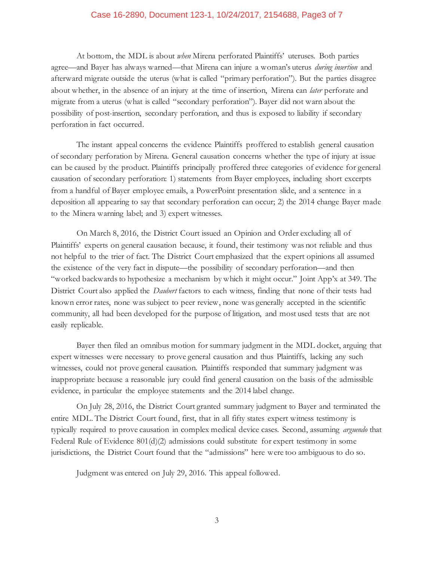#### Case 16-2890, Document 123-1, 10/24/2017, 2154688, Page3 of 7

At bottom, the MDL is about *when* Mirena perforated Plaintiffs' uteruses. Both parties agree—and Bayer has always warned—that Mirena can injure a woman's uterus *during insertion* and afterward migrate outside the uterus (what is called "primary perforation"). But the parties disagree about whether, in the absence of an injury at the time of insertion, Mirena can *later* perforate and migrate from a uterus (what is called "secondary perforation"). Bayer did not warn about the possibility of post-insertion, secondary perforation, and thus is exposed to liability if secondary perforation in fact occurred.

The instant appeal concerns the evidence Plaintiffs proffered to establish general causation of secondary perforation by Mirena. General causation concerns whether the type of injury at issue can be caused by the product. Plaintiffs principally proffered three categories of evidence for general causation of secondary perforation: 1) statements from Bayer employees, including short excerpts from a handful of Bayer employee emails, a PowerPoint presentation slide, and a sentence in a deposition all appearing to say that secondary perforation can occur; 2) the 2014 change Bayer made to the Minera warning label; and 3) expert witnesses.

On March 8, 2016, the District Court issued an Opinion and Order excluding all of Plaintiffs' experts on general causation because, it found, their testimony was not reliable and thus not helpful to the trier of fact. The District Court emphasized that the expert opinions all assumed the existence of the very fact in dispute—the possibility of secondary perforation—and then "worked backwards to hypothesize a mechanism by which it might occur." Joint App'x at 349. The District Court also applied the *Daubert* factors to each witness, finding that none of their tests had known error rates, none was subject to peer review, none was generally accepted in the scientific community, all had been developed for the purpose of litigation, and most used tests that are not easily replicable.

Bayer then filed an omnibus motion for summary judgment in the MDL docket, arguing that expert witnesses were necessary to prove general causation and thus Plaintiffs, lacking any such witnesses, could not prove general causation. Plaintiffs responded that summary judgment was inappropriate because a reasonable jury could find general causation on the basis of the admissible evidence, in particular the employee statements and the 2014 label change.

On July 28, 2016, the District Court granted summary judgment to Bayer and terminated the entire MDL. The District Court found, first, that in all fifty states expert witness testimony is typically required to prove causation in complex medical device cases. Second, assuming *arguendo* that Federal Rule of Evidence 801(d)(2) admissions could substitute for expert testimony in some jurisdictions, the District Court found that the "admissions" here were too ambiguous to do so.

Judgment was entered on July 29, 2016. This appeal followed.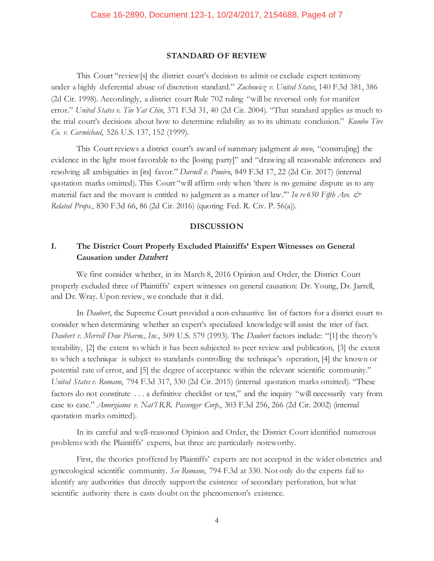#### **STANDARD OF REVIEW**

This Court "review[s] the district court's decision to admit or exclude expert testimony under a highly deferential abuse of discretion standard." *Zuchowicz v. United States*, 140 F.3d 381, 386 (2d Cir. 1998). Accordingly, a district court Rule 702 ruling "will be reversed only for manifest error." *United States v. Tin Yat Chin*, 371 F.3d 31, 40 (2d Cir. 2004). "That standard applies as much to the trial court's decisions about how to determine reliability as to its ultimate conclusion." *Kumho Tire Co. v. Carmichael*, 526 U.S. 137, 152 (1999).

This Court reviews a district court's award of summary judgment *de novo*, "constru[ing] the evidence in the light most favorable to the [losing party]" and "drawing all reasonable inferences and resolving all ambiguities in [its] favor." *Darnell v. Pineiro*, 849 F.3d 17, 22 (2d Cir. 2017) (internal quotation marks omitted). This Court "will affirm only when 'there is no genuine dispute as to any material fact and the movant is entitled to judgment as a matter of law." In re 650 Fifth Ave.  $\mathcal{O}^*$ *Related Props.*, 830 F.3d 66, 86 (2d Cir. 2016) (quoting Fed. R. Civ. P. 56(a)).

#### **DISCUSSION**

# **I. The District Court Properly Excluded Plaintiffs' Expert Witnesses on General Causation under** *Daubert*

We first consider whether, in its March 8, 2016 Opinion and Order, the District Court properly excluded three of Plaintiffs' expert witnesses on general causation: Dr. Young, Dr. Jarrell, and Dr. Wray. Upon review, we conclude that it did.

In *Daubert*, the Supreme Court provided a non-exhaustive list of factors for a district court to consider when determining whether an expert's specialized knowledge will assist the trier of fact. *Daubert v. Merrell Dow Pharm., Inc.*, 509 U.S. 579 (1993). The *Daubert* factors include: "[1] the theory's testability, [2] the extent to which it has been subjected to peer review and publication, [3] the extent to which a technique is subject to standards controlling the technique's operation, [4] the known or potential rate of error, and [5] the degree of acceptance within the relevant scientific community." *United States v. Romano*, 794 F.3d 317, 330 (2d Cir. 2015) (internal quotation marks omitted). "These factors do not constitute . . . a definitive checklist or test," and the inquiry "will necessarily vary from case to case." *Amorgianos v. Nat'l R.R. Passenger Corp.*, 303 F.3d 256, 266 (2d Cir. 2002) (internal quotation marks omitted).

In its careful and well-reasoned Opinion and Order, the District Court identified numerous problems with the Plaintiffs' experts, but three are particularly noteworthy.

First, the theories proffered by Plaintiffs' experts are not accepted in the wider obstetrics and gynecological scientific community. *See Romano*, 794 F.3d at 330. Not only do the experts fail to identify any authorities that directly support the existence of secondary perforation, but what scientific authority there is casts doubt on the phenomenon's existence.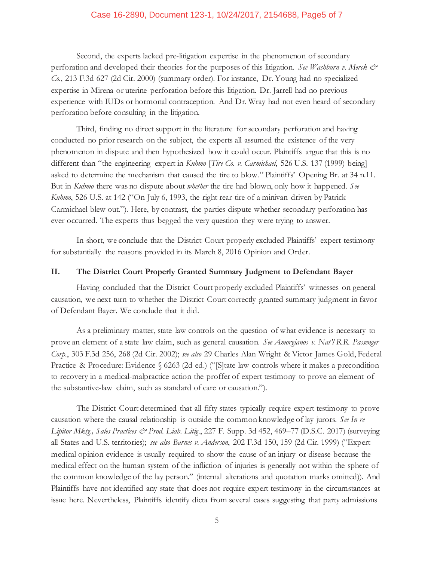#### Case 16-2890, Document 123-1, 10/24/2017, 2154688, Page5 of 7

Second, the experts lacked pre-litigation expertise in the phenomenon of secondary perforation and developed their theories for the purposes of this litigation. See Washburn v. Merck & *Co.*, 213 F.3d 627 (2d Cir. 2000) (summary order). For instance, Dr. Young had no specialized expertise in Mirena or uterine perforation before this litigation. Dr. Jarrell had no previous experience with IUDs or hormonal contraception. And Dr. Wray had not even heard of secondary perforation before consulting in the litigation.

Third, finding no direct support in the literature for secondary perforation and having conducted no prior research on the subject, the experts all assumed the existence of the very phenomenon in dispute and then hypothesized how it could occur. Plaintiffs argue that this is no different than "the engineering expert in *Kuhmo* [*Tire Co. v. Carmichael*, 526 U.S. 137 (1999) being] asked to determine the mechanism that caused the tire to blow." Plaintiffs' Opening Br. at 34 n.11. But in *Kuhmo* there was no dispute about *whether* the tire had blown, only how it happened. *See Kuhmo*, 526 U.S. at 142 ("On July 6, 1993, the right rear tire of a minivan driven by Patrick Carmichael blew out."). Here, by contrast, the parties dispute whether secondary perforation has ever occurred. The experts thus begged the very question they were trying to answer.

In short, we conclude that the District Court properly excluded Plaintiffs' expert testimony for substantially the reasons provided in its March 8, 2016 Opinion and Order.

#### **II. The District Court Properly Granted Summary Judgment to Defendant Bayer**

Having concluded that the District Court properly excluded Plaintiffs' witnesses on general causation, we next turn to whether the District Court correctly granted summary judgment in favor of Defendant Bayer. We conclude that it did.

As a preliminary matter, state law controls on the question of what evidence is necessary to prove an element of a state law claim, such as general causation. *See Amorgianos v. Nat'l R.R. Passenger Corp.*, 303 F.3d 256, 268 (2d Cir. 2002); *see also* 29 Charles Alan Wright & Victor James Gold, Federal Practice & Procedure: Evidence § 6263 (2d ed.) ("[S]tate law controls where it makes a precondition to recovery in a medical-malpractice action the proffer of expert testimony to prove an element of the substantive-law claim, such as standard of care or causation.").

The District Court determined that all fifty states typically require expert testimony to prove causation where the causal relationship is outside the common knowledge of lay jurors. *See In re Lipitor Mktg., Sales Practices & Prod. Liab. Litig.*, 227 F. Supp. 3d 452, 469–77 (D.S.C. 2017) (surveying all States and U.S. territories); *see also Barnes v. Anderson*, 202 F.3d 150, 159 (2d Cir. 1999) ("Expert medical opinion evidence is usually required to show the cause of an injury or disease because the medical effect on the human system of the infliction of injuries is generally not within the sphere of the common knowledge of the lay person." (internal alterations and quotation marks omitted)). And Plaintiffs have not identified any state that does not require expert testimony in the circumstances at issue here. Nevertheless, Plaintiffs identify dicta from several cases suggesting that party admissions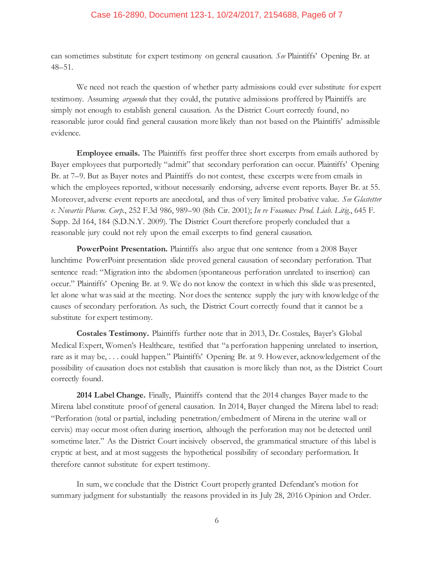### Case 16-2890, Document 123-1, 10/24/2017, 2154688, Page6 of 7

can sometimes substitute for expert testimony on general causation. *See* Plaintiffs' Opening Br. at 48–51.

We need not reach the question of whether party admissions could ever substitute for expert testimony. Assuming *arguendo* that they could, the putative admissions proffered by Plaintiffs are simply not enough to establish general causation. As the District Court correctly found, no reasonable juror could find general causation more likely than not based on the Plaintiffs' admissible evidence.

**Employee emails.** The Plaintiffs first proffer three short excerpts from emails authored by Bayer employees that purportedly "admit" that secondary perforation can occur. Plaintiffs' Opening Br. at 7–9. But as Bayer notes and Plaintiffs do not contest, these excerpts were from emails in which the employees reported, without necessarily endorsing, adverse event reports. Bayer Br. at 55. Moreover, adverse event reports are anecdotal, and thus of very limited probative value. *See Glastetter v. Novartis Pharm. Corp.*, 252 F.3d 986, 989–90 (8th Cir. 2001); *In re Fosamax Prod. Liab. Litig.*, 645 F. Supp. 2d 164, 184 (S.D.N.Y. 2009). The District Court therefore properly concluded that a reasonable jury could not rely upon the email excerpts to find general causation.

**PowerPoint Presentation.** Plaintiffs also argue that one sentence from a 2008 Bayer lunchtime PowerPoint presentation slide proved general causation of secondary perforation. That sentence read: "Migration into the abdomen (spontaneous perforation unrelated to insertion) can occur." Plaintiffs' Opening Br. at 9. We do not know the context in which this slide was presented, let alone what was said at the meeting. Nor does the sentence supply the jury with knowledge of the causes of secondary perforation. As such, the District Court correctly found that it cannot be a substitute for expert testimony.

**Costales Testimony.** Plaintiffs further note that in 2013, Dr. Costales, Bayer's Global Medical Expert, Women's Healthcare, testified that "a perforation happening unrelated to insertion, rare as it may be, . . . could happen." Plaintiffs' Opening Br. at 9. However, acknowledgement of the possibility of causation does not establish that causation is more likely than not, as the District Court correctly found.

**2014 Label Change.** Finally, Plaintiffs contend that the 2014 changes Bayer made to the Mirena label constitute proof of general causation. In 2014, Bayer changed the Mirena label to read: "Perforation (total or partial, including penetration/embedment of Mirena in the uterine wall or cervix) may occur most often during insertion, although the perforation may not be detected until sometime later." As the District Court incisively observed, the grammatical structure of this label is cryptic at best, and at most suggests the hypothetical possibility of secondary performation. It therefore cannot substitute for expert testimony.

In sum, we conclude that the District Court properly granted Defendant's motion for summary judgment for substantially the reasons provided in its July 28, 2016 Opinion and Order.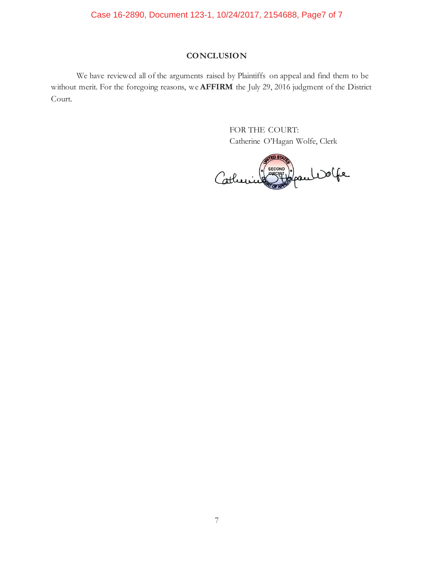# Case 16-2890, Document 123-1, 10/24/2017, 2154688, Page7 of 7

## **CONCLUSION**

We have reviewed all of the arguments raised by Plaintiffs on appeal and find them to be without merit. For the foregoing reasons, we **AFFIRM** the July 29, 2016 judgment of the District Court.

> FOR THE COURT: Catherine O'Hagan Wolfe, Clerk

**FD STA** ECONO Y<br>Stilopauli Dolfe **SECOND** Catherine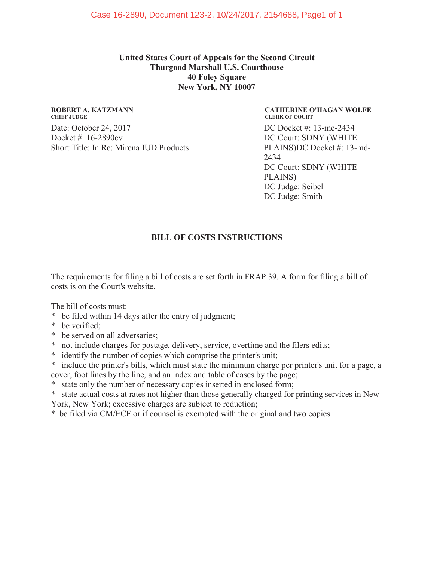**United States Court of Appeals for the Second Circuit Thurgood Marshall U.S. Courthouse 40 Foley Square New York, NY 10007**

## **ROBERT A. KATZMANN CHIEF JUDGE**

Date: October 24, 2017 Docket #: 16-2890cv Short Title: In Re: Mirena IUD Products

**CATHERINE O'HAGAN WOLFE CLERK OF COURT** DC Docket #: 13-mc-2434 DC Court: SDNY (WHITE PLAINS)DC Docket #: 13-md-2434 DC Court: SDNY (WHITE PLAINS) DC Judge: Seibel DC Judge: Smith

# **BILL OF COSTS INSTRUCTIONS**

The requirements for filing a bill of costs are set forth in FRAP 39. A form for filing a bill of costs is on the Court's website.

The bill of costs must:

- \* be filed within 14 days after the entry of judgment;
- \* be verified;
- \* be served on all adversaries;
- \* not include charges for postage, delivery, service, overtime and the filers edits;
- \* identify the number of copies which comprise the printer's unit;
- \* include the printer's bills, which must state the minimum charge per printer's unit for a page, a cover, foot lines by the line, and an index and table of cases by the page;
- state only the number of necessary copies inserted in enclosed form;
- \* state actual costs at rates not higher than those generally charged for printing services in New York, New York; excessive charges are subject to reduction;
- \* be filed via CM/ECF or if counsel is exempted with the original and two copies.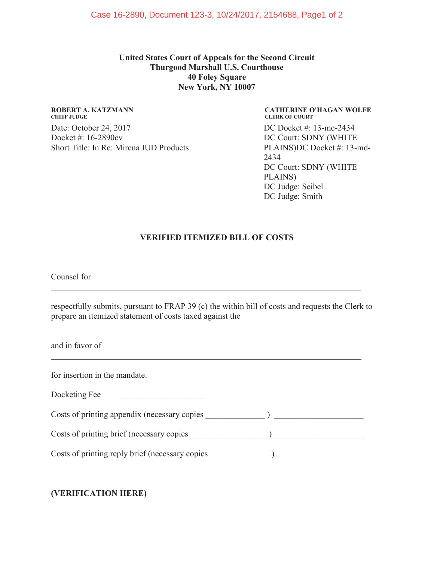**United States Court of Appeals for the Second Circuit Thurgood Marshall U.S. Courthouse 40 Foley Square New York, NY 10007**

## **ROBERT A. KATZMANN CHIEF JUDGE** Date: October 24, 2017 Docket #: 16-2890cv Short Title: In Re: Mirena IUD Products

**CATHERINE O'HAGAN WOLFE CLERK OF COURT** DC Docket #: 13-mc-2434 DC Court: SDNY (WHITE PLAINS)DC Docket #: 13-md-2434 DC Court: SDNY (WHITE PLAINS) DC Judge: Seibel DC Judge: Smith

# **VERIFIED ITEMIZED BILL OF COSTS**

Counsel for

| respectfully submits, pursuant to FRAP 39 (c) the within bill of costs and requests the Clerk to |  |
|--------------------------------------------------------------------------------------------------|--|
| prepare an itemized statement of costs taxed against the                                         |  |

and in favor of

for insertion in the mandate.

Costs of printing appendix (necessary copies \_\_\_\_\_\_\_\_\_\_\_\_\_\_ ) \_\_\_\_\_\_\_\_\_\_\_\_\_\_\_\_\_\_\_\_\_

Costs of printing brief (necessary copies \_\_\_\_\_\_\_\_\_\_\_\_\_\_ \_\_\_\_) \_\_\_\_\_\_\_\_\_\_\_\_\_\_\_\_\_\_\_\_\_

Costs of printing reply brief (necessary copies \_\_\_\_\_\_\_\_\_\_\_\_\_\_\_\_\_\_\_\_\_\_\_\_\_\_\_\_\_\_\_\_

# **(VERIFICATION HERE)**